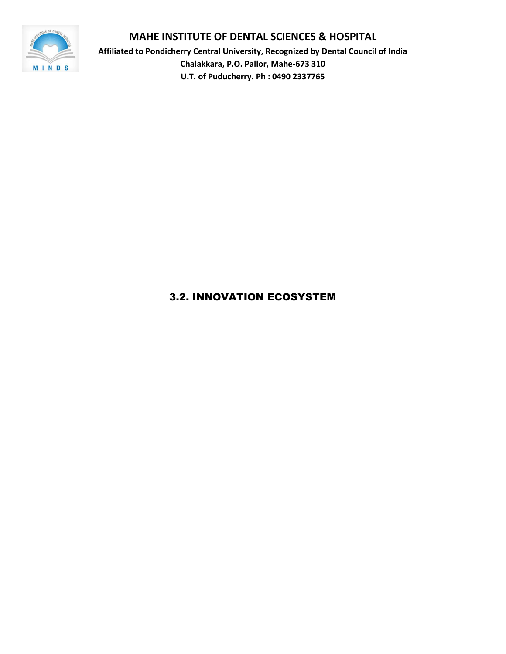

**Affiliated to Pondicherry Central University, Recognized by Dental Council of India Chalakkara, P.O. Pallor, Mahe-673 310 U.T. of Puducherry. Ph : 0490 2337765**

# 3.2. INNOVATION ECOSYSTEM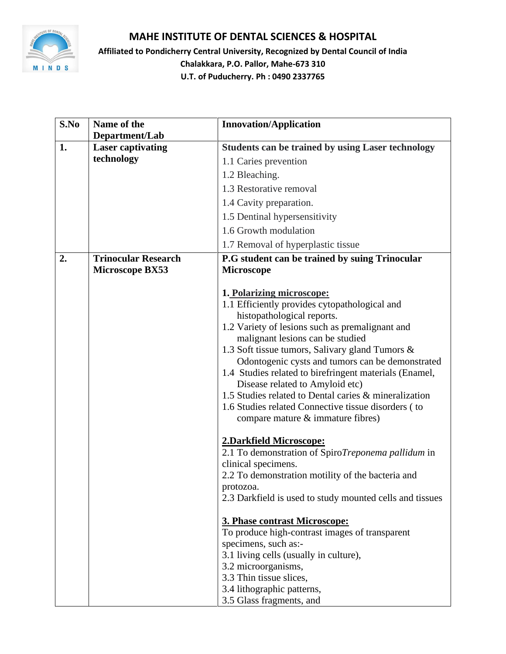

**Affiliated to Pondicherry Central University, Recognized by Dental Council of India Chalakkara, P.O. Pallor, Mahe-673 310 U.T. of Puducherry. Ph : 0490 2337765**

| S.No<br>Name of the<br><b>Innovation/Application</b>                                       |  |
|--------------------------------------------------------------------------------------------|--|
| Department/Lab                                                                             |  |
| <b>Laser captivating</b><br>1.<br><b>Students can be trained by using Laser technology</b> |  |
| technology<br>1.1 Caries prevention                                                        |  |
| 1.2 Bleaching.                                                                             |  |
| 1.3 Restorative removal                                                                    |  |
| 1.4 Cavity preparation.                                                                    |  |
| 1.5 Dentinal hypersensitivity                                                              |  |
| 1.6 Growth modulation                                                                      |  |
| 1.7 Removal of hyperplastic tissue                                                         |  |
| <b>Trinocular Research</b><br>P.G student can be trained by suing Trinocular<br>2.         |  |
| Microscope BX53<br><b>Microscope</b>                                                       |  |
| 1. Polarizing microscope:                                                                  |  |
| 1.1 Efficiently provides cytopathological and                                              |  |
| histopathological reports.                                                                 |  |
| 1.2 Variety of lesions such as premalignant and                                            |  |
| malignant lesions can be studied                                                           |  |
| 1.3 Soft tissue tumors, Salivary gland Tumors &                                            |  |
| Odontogenic cysts and tumors can be demonstrated                                           |  |
| 1.4 Studies related to birefringent materials (Enamel,                                     |  |
| Disease related to Amyloid etc)<br>1.5 Studies related to Dental caries & mineralization   |  |
| 1.6 Studies related Connective tissue disorders (to                                        |  |
| compare mature $\&$ immature fibres)                                                       |  |
|                                                                                            |  |
| 2.Darkfield Microscope:                                                                    |  |
| 2.1 To demonstration of SpiroTreponema pallidum in                                         |  |
| clinical specimens.                                                                        |  |
| 2.2 To demonstration motility of the bacteria and                                          |  |
| protozoa.                                                                                  |  |
| 2.3 Darkfield is used to study mounted cells and tissues                                   |  |
| 3. Phase contrast Microscope:                                                              |  |
| To produce high-contrast images of transparent                                             |  |
| specimens, such as:-                                                                       |  |
| 3.1 living cells (usually in culture),                                                     |  |
| 3.2 microorganisms,                                                                        |  |
| 3.3 Thin tissue slices,                                                                    |  |
| 3.4 lithographic patterns,<br>3.5 Glass fragments, and                                     |  |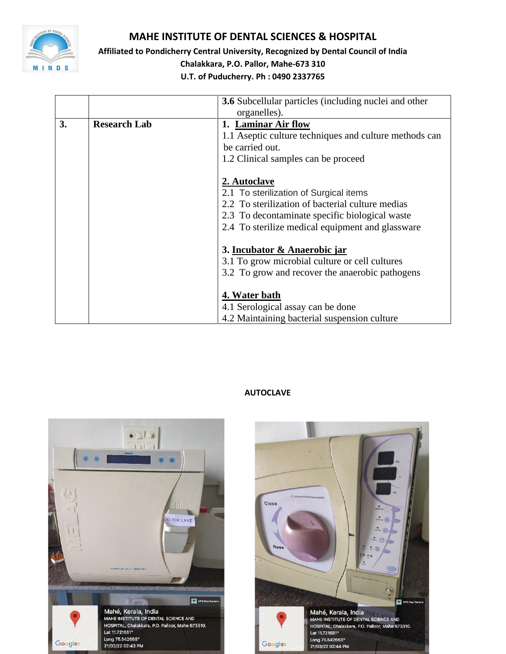

**Affiliated to Pondicherry Central University, Recognized by Dental Council of India**

**Chalakkara, P.O. Pallor, Mahe-673 310**

**U.T. of Puducherry. Ph : 0490 2337765**

|    |                     | <b>3.6</b> Subcellular particles (including nuclei and other |
|----|---------------------|--------------------------------------------------------------|
|    |                     | organelles).                                                 |
| 3. | <b>Research Lab</b> | 1. Laminar Air flow                                          |
|    |                     | 1.1 Aseptic culture techniques and culture methods can       |
|    |                     | be carried out.                                              |
|    |                     | 1.2 Clinical samples can be proceed                          |
|    |                     |                                                              |
|    |                     | 2. Autoclave                                                 |
|    |                     | 2.1 To sterilization of Surgical items                       |
|    |                     | 2.2 To sterilization of bacterial culture medias             |
|    |                     | 2.3 To decontaminate specific biological waste               |
|    |                     | 2.4 To sterilize medical equipment and glassware             |
|    |                     | 3. Incubator & Anaerobic jar                                 |
|    |                     | 3.1 To grow microbial culture or cell cultures               |
|    |                     | 3.2 To grow and recover the anaerobic pathogens              |
|    |                     |                                                              |
|    |                     | 4. Water bath                                                |
|    |                     | 4.1 Serological assay can be done                            |
|    |                     | 4.2 Maintaining bacterial suspension culture                 |

#### **AUTOCLAVE**



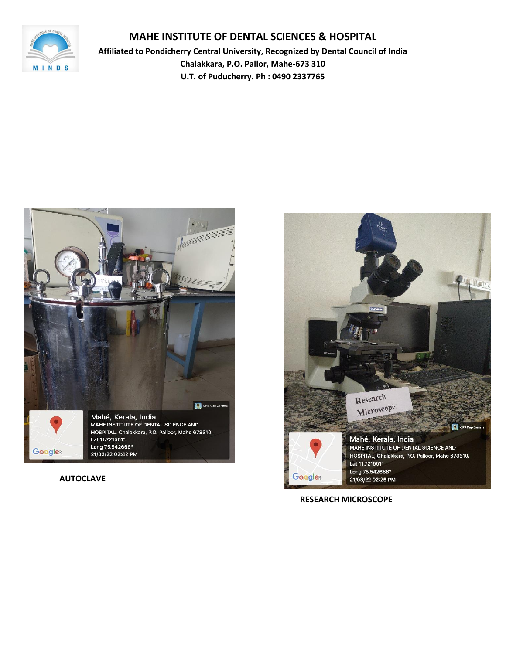

**Affiliated to Pondicherry Central University, Recognized by Dental Council of India Chalakkara, P.O. Pallor, Mahe-673 310 U.T. of Puducherry. Ph : 0490 2337765**



## **AUTOCLAVE**



 **RESEARCH MICROSCOPE**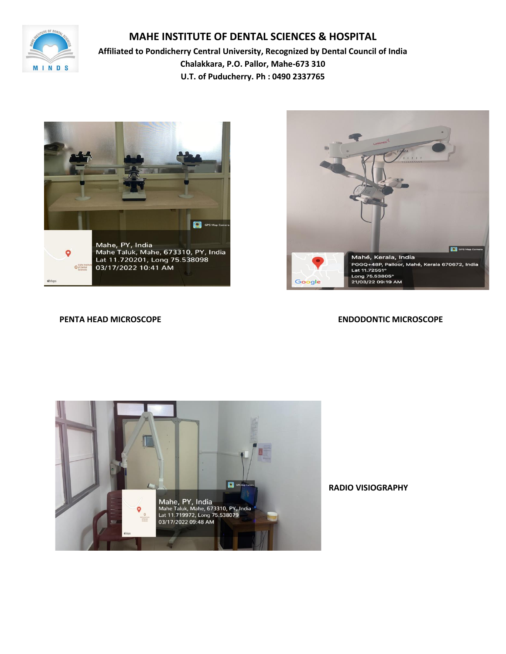

**Affiliated to Pondicherry Central University, Recognized by Dental Council of India Chalakkara, P.O. Pallor, Mahe-673 310 U.T. of Puducherry. Ph : 0490 2337765**





**PENTA HEAD MICROSCOPE ENDODONTIC MICROSCOPE**



**RADIO VISIOGRAPHY**